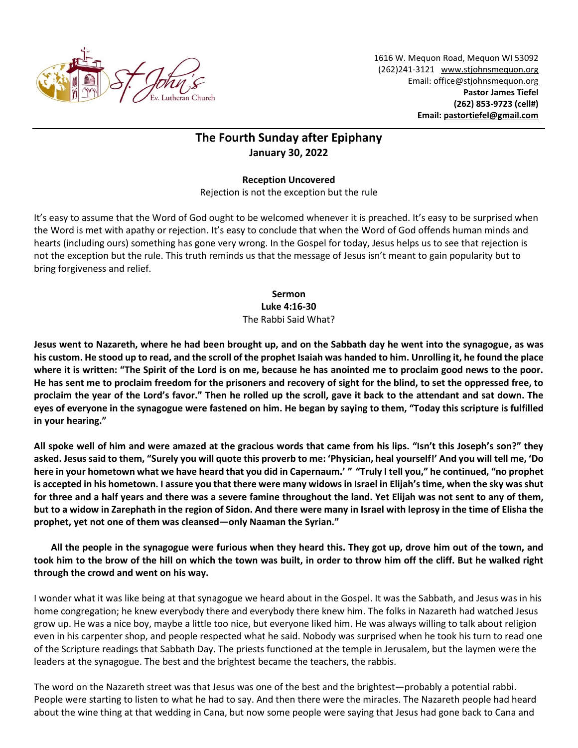

1616 W. Mequon Road, Mequon WI 53092 (262)241-3121 [www.stjohnsmequon.org](http://www.stjohnsmequon.org/) Email[: office@stjohnsmequon.org](mailto:office@stjohnsmequon.org) **Pastor James Tiefel (262) 853-9723 (cell#) Email: [pastortiefel@gmail.com](mailto:pastortiefel@gmail.com)**

## **The Fourth Sunday after Epiphany January 30, 2022**

**Reception Uncovered** Rejection is not the exception but the rule

It's easy to assume that the Word of God ought to be welcomed whenever it is preached. It's easy to be surprised when the Word is met with apathy or rejection. It's easy to conclude that when the Word of God offends human minds and hearts (including ours) something has gone very wrong. In the Gospel for today, Jesus helps us to see that rejection is not the exception but the rule. This truth reminds us that the message of Jesus isn't meant to gain popularity but to bring forgiveness and relief.

> **Sermon Luke 4:16-30** The Rabbi Said What?

**Jesus went to Nazareth, where he had been brought up, and on the Sabbath day he went into the synagogue, as was his custom. He stood up to read, and the scroll of the prophet Isaiah was handed to him. Unrolling it, he found the place where it is written: "The Spirit of the Lord is on me, because he has anointed me to proclaim good news to the poor. He has sent me to proclaim freedom for the prisoners and recovery of sight for the blind, to set the oppressed free, to proclaim the year of the Lord's favor." Then he rolled up the scroll, gave it back to the attendant and sat down. The eyes of everyone in the synagogue were fastened on him. He began by saying to them, "Today this scripture is fulfilled in your hearing."** 

**All spoke well of him and were amazed at the gracious words that came from his lips. "Isn't this Joseph's son?" they asked. Jesus said to them, "Surely you will quote this proverb to me: 'Physician, heal yourself!' And you will tell me, 'Do here in your hometown what we have heard that you did in Capernaum.' " "Truly I tell you," he continued, "no prophet is accepted in his hometown. I assure you that there were many widows in Israel in Elijah's time, when the sky was shut for three and a half years and there was a severe famine throughout the land. Yet Elijah was not sent to any of them, but to a widow in Zarephath in the region of Sidon. And there were many in Israel with leprosy in the time of Elisha the prophet, yet not one of them was cleansed—only Naaman the Syrian."** 

**All the people in the synagogue were furious when they heard this. They got up, drove him out of the town, and took him to the brow of the hill on which the town was built, in order to throw him off the cliff. But he walked right through the crowd and went on his way.**

I wonder what it was like being at that synagogue we heard about in the Gospel. It was the Sabbath, and Jesus was in his home congregation; he knew everybody there and everybody there knew him. The folks in Nazareth had watched Jesus grow up. He was a nice boy, maybe a little too nice, but everyone liked him. He was always willing to talk about religion even in his carpenter shop, and people respected what he said. Nobody was surprised when he took his turn to read one of the Scripture readings that Sabbath Day. The priests functioned at the temple in Jerusalem, but the laymen were the leaders at the synagogue. The best and the brightest became the teachers, the rabbis.

The word on the Nazareth street was that Jesus was one of the best and the brightest—probably a potential rabbi. People were starting to listen to what he had to say. And then there were the miracles. The Nazareth people had heard about the wine thing at that wedding in Cana, but now some people were saying that Jesus had gone back to Cana and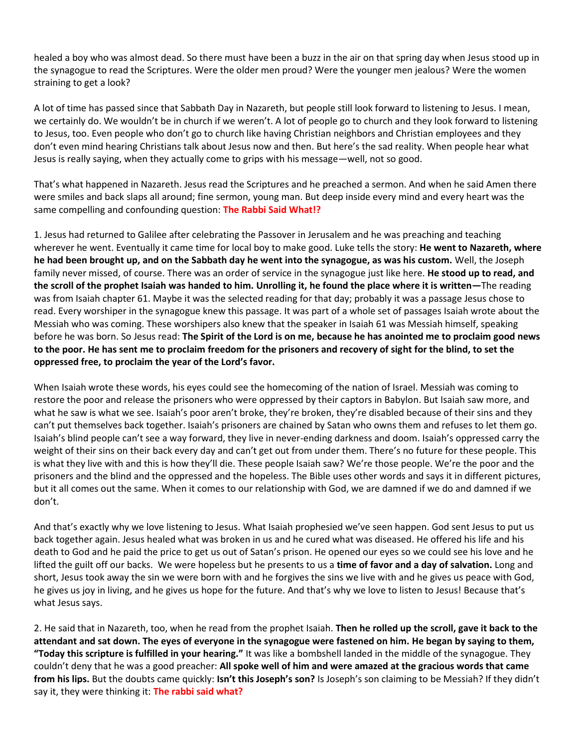healed a boy who was almost dead. So there must have been a buzz in the air on that spring day when Jesus stood up in the synagogue to read the Scriptures. Were the older men proud? Were the younger men jealous? Were the women straining to get a look?

A lot of time has passed since that Sabbath Day in Nazareth, but people still look forward to listening to Jesus. I mean, we certainly do. We wouldn't be in church if we weren't. A lot of people go to church and they look forward to listening to Jesus, too. Even people who don't go to church like having Christian neighbors and Christian employees and they don't even mind hearing Christians talk about Jesus now and then. But here's the sad reality. When people hear what Jesus is really saying, when they actually come to grips with his message—well, not so good.

That's what happened in Nazareth. Jesus read the Scriptures and he preached a sermon. And when he said Amen there were smiles and back slaps all around; fine sermon, young man. But deep inside every mind and every heart was the same compelling and confounding question: **The Rabbi Said What!?**

1. Jesus had returned to Galilee after celebrating the Passover in Jerusalem and he was preaching and teaching wherever he went. Eventually it came time for local boy to make good. Luke tells the story: **He went to Nazareth, where he had been brought up, and on the Sabbath day he went into the synagogue, as was his custom.** Well, the Joseph family never missed, of course. There was an order of service in the synagogue just like here. **He stood up to read, and the scroll of the prophet Isaiah was handed to him. Unrolling it, he found the place where it is written—**The reading was from Isaiah chapter 61. Maybe it was the selected reading for that day; probably it was a passage Jesus chose to read. Every worshiper in the synagogue knew this passage. It was part of a whole set of passages Isaiah wrote about the Messiah who was coming. These worshipers also knew that the speaker in Isaiah 61 was Messiah himself, speaking before he was born. So Jesus read: **The Spirit of the Lord is on me, because he has anointed me to proclaim good news to the poor. He has sent me to proclaim freedom for the prisoners and recovery of sight for the blind, to set the oppressed free, to proclaim the year of the Lord's favor.**

When Isaiah wrote these words, his eyes could see the homecoming of the nation of Israel. Messiah was coming to restore the poor and release the prisoners who were oppressed by their captors in Babylon. But Isaiah saw more, and what he saw is what we see. Isaiah's poor aren't broke, they're broken, they're disabled because of their sins and they can't put themselves back together. Isaiah's prisoners are chained by Satan who owns them and refuses to let them go. Isaiah's blind people can't see a way forward, they live in never-ending darkness and doom. Isaiah's oppressed carry the weight of their sins on their back every day and can't get out from under them. There's no future for these people. This is what they live with and this is how they'll die. These people Isaiah saw? We're those people. We're the poor and the prisoners and the blind and the oppressed and the hopeless. The Bible uses other words and says it in different pictures, but it all comes out the same. When it comes to our relationship with God, we are damned if we do and damned if we don't.

And that's exactly why we love listening to Jesus. What Isaiah prophesied we've seen happen. God sent Jesus to put us back together again. Jesus healed what was broken in us and he cured what was diseased. He offered his life and his death to God and he paid the price to get us out of Satan's prison. He opened our eyes so we could see his love and he lifted the guilt off our backs. We were hopeless but he presents to us a **time of favor and a day of salvation.** Long and short, Jesus took away the sin we were born with and he forgives the sins we live with and he gives us peace with God, he gives us joy in living, and he gives us hope for the future. And that's why we love to listen to Jesus! Because that's what Jesus says.

2. He said that in Nazareth, too, when he read from the prophet Isaiah. **Then he rolled up the scroll, gave it back to the attendant and sat down. The eyes of everyone in the synagogue were fastened on him. He began by saying to them, "Today this scripture is fulfilled in your hearing."** It was like a bombshell landed in the middle of the synagogue. They couldn't deny that he was a good preacher: **All spoke well of him and were amazed at the gracious words that came from his lips.** But the doubts came quickly: **Isn't this Joseph's son?** Is Joseph's son claiming to be Messiah? If they didn't say it, they were thinking it: **The rabbi said what?**